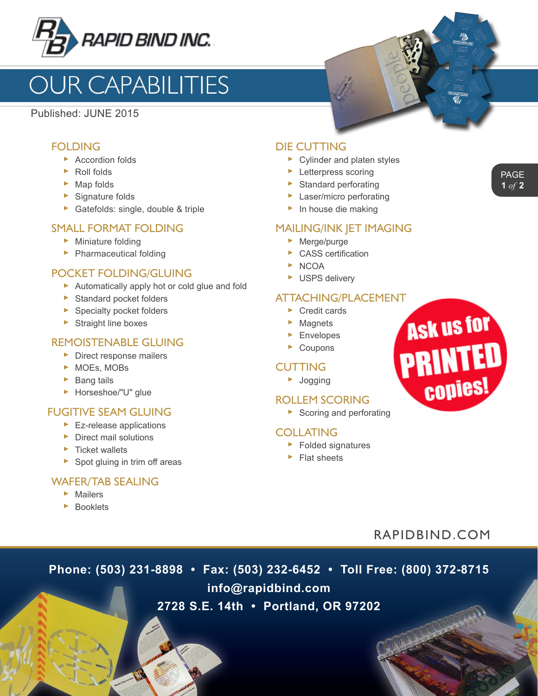

# **OUR CAPABILITIES**

Published: JUNE 2015

#### FOLDING

- ► Accordion folds
- ► Roll folds
- ► Map folds
- ► Signature folds
- ► Gatefolds: single, double & triple

#### SMALL FORMAT FOLDING

- ► Miniature folding
- ► Pharmaceutical folding

#### POCKET FOLDING/GLUING

- ► Automatically apply hot or cold glue and fold
- ► Standard pocket folders
- ► Specialty pocket folders
- ► Straight line boxes

#### REMOISTENABLE GLUING

- ► Direct response mailers
- ► MOEs, MOBs
- ► Bang tails
- ► Horseshoe/"U" glue

# FUGITIVE SEAM GLUING

- ► Ez-release applications
- ► Direct mail solutions
- ► Ticket wallets
- ► Spot gluing in trim off areas

#### WAFER/TAB SEALING

- ► Mailers
- ► Booklets

# DIE CUTTING

- ► Cylinder and platen styles
- ► Letterpress scoring
- ► Standard perforating
- ► Laser/micro perforating
- ► In house die making

#### MAILING/INK JET IMAGING

- ► Merge/purge
- $\triangleright$  CASS certification
- ► NCOA
- ► USPS delivery

#### ATTACHING/PLACEMENT

- ► Credit cards
- ► Magnets
- ► Envelopes
- ► Coupons

# **CUTTING**

► Jogging

#### ROLLEM SCORING

► Scoring and perforating

#### COLLATING

- ► Folded signatures
- ► Flat sheets



# RAPIDBIND.COM

**Phone: (503) 231-8898 • Fax: (503) 232-6452 • Toll Free: (800) 372-8715**

**info@rapidbind.com**

# **2728 S.E. 14th • Portland, OR 97202**

PAGE **1** *of* **2**